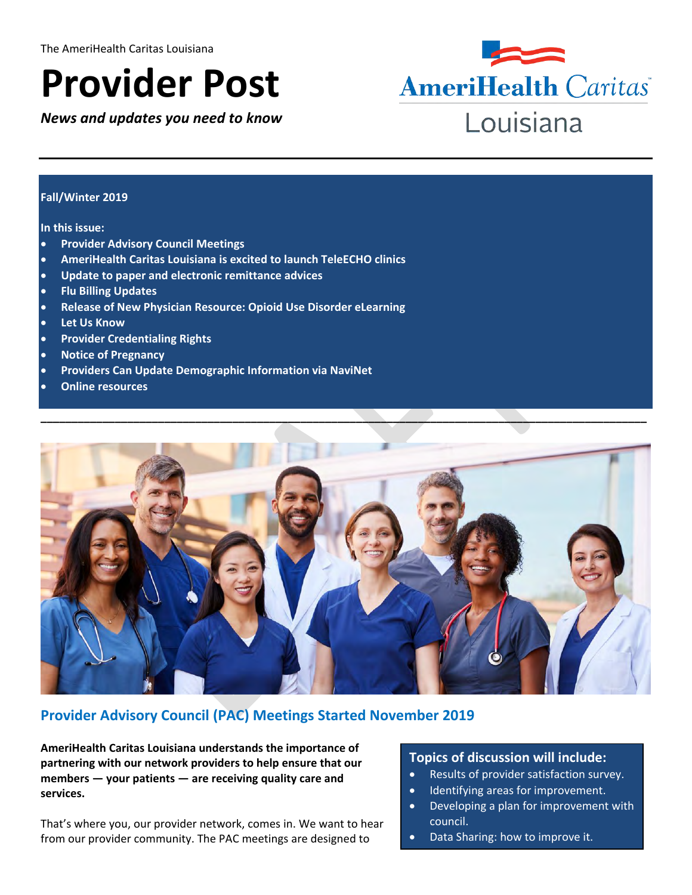# **Provider Post**

*News and updates you need to know*



#### **Fall/Winter 2019**

#### **In this issue:**

- **Provider Advisory Council Meetings**
- **AmeriHealth Caritas Louisiana is excited to launch TeleECHO clinics**
- **Update to paper and electronic remittance advices**
- **Flu Billing Updates**
- **Release of New Physician Resource: Opioid Use Disorder eLearning**
- **Let Us Know**
- **Provider Credentialing Rights**
- **Notice of Pregnancy**
- **Providers Can Update Demographic Information via NaviNet**
- **Online resources**



# **Provider Advisory Council (PAC) Meetings Started November 2019**

**AmeriHealth Caritas Louisiana understands the importance of partnering with our network providers to help ensure that our members — your patients — are receiving quality care and services.** 

That's where you, our provider network, comes in. We want to hear from our provider community. The PAC meetings are designed to

#### **Topics of discussion will include:**

- Results of provider satisfaction survey.
- Identifying areas for improvement.
- Developing a plan for improvement with council.
- Data Sharing: how to improve it.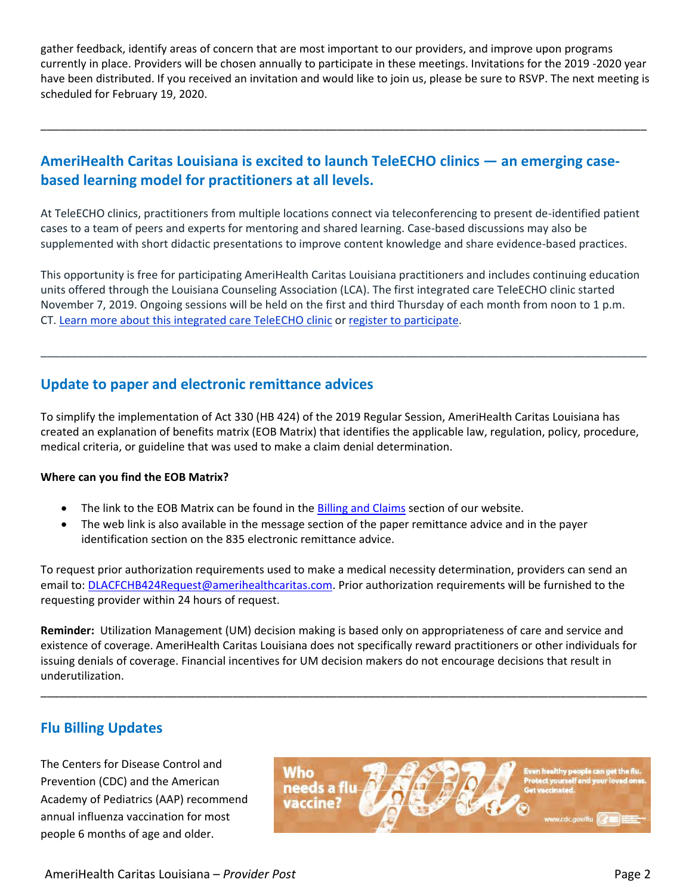gather feedback, identify areas of concern that are most important to our providers, and improve upon programs currently in place. Providers will be chosen annually to participate in these meetings. Invitations for the 2019 -2020 year have been distributed. If you received an invitation and would like to join us, please be sure to RSVP. The next meeting is scheduled for February 19, 2020.

\_\_\_\_\_\_\_\_\_\_\_\_\_\_\_\_\_\_\_\_\_\_\_\_\_\_\_\_\_\_\_\_\_\_\_\_\_\_\_\_\_\_\_\_\_\_\_\_\_\_\_\_\_\_\_\_\_\_\_\_\_\_\_\_\_\_\_\_\_\_\_\_\_\_\_\_\_\_\_\_\_\_\_\_\_\_\_\_\_\_\_\_\_\_\_\_\_\_

# **AmeriHealth Caritas Louisiana is excited to launch TeleECHO clinics — an emerging casebased learning model for practitioners at all levels.**

At TeleECHO clinics, practitioners from multiple locations connect via teleconferencing to present de-identified patient cases to a team of peers and experts for mentoring and shared learning. Case-based discussions may also be supplemented with short didactic presentations to improve content knowledge and share evidence-based practices.

This opportunity is free for participating AmeriHealth Caritas Louisiana practitioners and includes continuing education units offered through the Louisiana Counseling Association (LCA). The first integrated care TeleECHO clinic started November 7, 2019. Ongoing sessions will be held on the first and third Thursday of each month from noon to 1 p.m. CT. [Learn more about this integrated care TeleECHO clinic](http://www.amerihealthcaritasla.com/pdf/provider/resources/amerihealth-caritas-louisana-echo-flyer.pdf) or [register to participate.](https://www.surveymonkey.com/r/teleechoregistration)

\_\_\_\_\_\_\_\_\_\_\_\_\_\_\_\_\_\_\_\_\_\_\_\_\_\_\_\_\_\_\_\_\_\_\_\_\_\_\_\_\_\_\_\_\_\_\_\_\_\_\_\_\_\_\_\_\_\_\_\_\_\_\_\_\_\_\_\_\_\_\_\_\_\_\_\_\_\_\_\_\_\_\_\_\_\_\_\_\_\_\_\_\_\_\_\_\_\_

## **Update to paper and electronic remittance advices**

To simplify the implementation of Act 330 (HB 424) of the 2019 Regular Session, AmeriHealth Caritas Louisiana has created an explanation of benefits matrix (EOB Matrix) that identifies the applicable law, regulation, policy, procedure, medical criteria, or guideline that was used to make a claim denial determination.

#### **Where can you find the EOB Matrix?**

- The link to the EOB Matrix can be found in the **Billing and Claims** section of our website.
- The web link is also available in the message section of the paper remittance advice and in the payer identification section on the 835 electronic remittance advice.

To request prior authorization requirements used to make a medical necessity determination, providers can send an email to: [DLACFCHB424Request@amerihealthcaritas.com.](mailto:DLACFCHB424Request@amerihealthcaritas.com) Prior authorization requirements will be furnished to the requesting provider within 24 hours of request.

**Reminder:** Utilization Management (UM) decision making is based only on appropriateness of care and service and existence of coverage. AmeriHealth Caritas Louisiana does not specifically reward practitioners or other individuals for issuing denials of coverage. Financial incentives for UM decision makers do not encourage decisions that result in underutilization.

\_\_\_\_\_\_\_\_\_\_\_\_\_\_\_\_\_\_\_\_\_\_\_\_\_\_\_\_\_\_\_\_\_\_\_\_\_\_\_\_\_\_\_\_\_\_\_\_\_\_\_\_\_\_\_\_\_\_\_\_\_\_\_\_\_\_\_\_\_\_\_\_\_\_\_\_\_\_\_\_\_\_\_\_\_\_\_\_\_\_\_\_\_\_\_\_\_\_

# **Flu Billing Updates**

The Centers for Disease Control and Prevention (CDC) and the American Academy of Pediatrics (AAP) recommend annual influenza vaccination for most people 6 months of age and older.

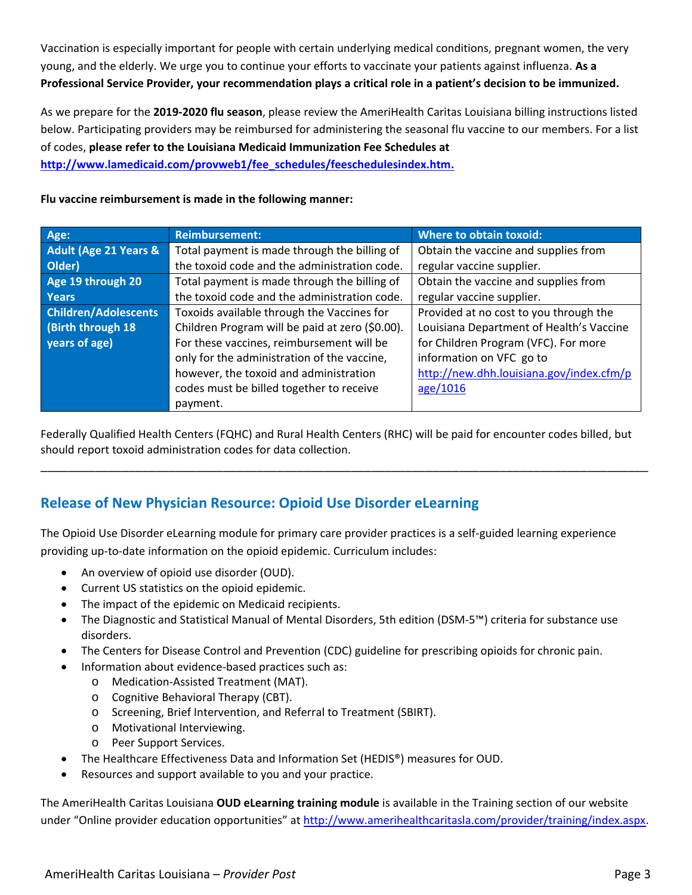Vaccination is especially important for people with certain underlying medical conditions, pregnant women, the very young, and the elderly. We urge you to continue your efforts to vaccinate your patients against influenza. **As a Professional Service Provider, your recommendation plays a critical role in a patient's decision to be immunized.**

As we prepare for the **2019-2020 flu season**, please review the AmeriHealth Caritas Louisiana billing instructions listed below. Participating providers may be reimbursed for administering the seasonal flu vaccine to our members. For a list of codes, **please refer to the Louisiana Medicaid Immunization Fee Schedules at [http://www.lamedicaid.com/provweb1/fee\\_schedules/feeschedulesindex.htm.](http://www.lamedicaid.com/provweb1/fee_schedules/feeschedulesindex.htm)**

#### **Flu vaccine reimbursement is made in the following manner:**

| Age:                             | <b>Reimbursement:</b>                           | <b>Where to obtain toxoid:</b>           |
|----------------------------------|-------------------------------------------------|------------------------------------------|
| <b>Adult (Age 21 Years &amp;</b> | Total payment is made through the billing of    | Obtain the vaccine and supplies from     |
| Older)                           | the toxoid code and the administration code.    | regular vaccine supplier.                |
| Age 19 through 20                | Total payment is made through the billing of    | Obtain the vaccine and supplies from     |
| <b>Years</b>                     | the toxoid code and the administration code.    | regular vaccine supplier.                |
| <b>Children/Adolescents</b>      | Toxoids available through the Vaccines for      | Provided at no cost to you through the   |
| (Birth through 18)               | Children Program will be paid at zero (\$0.00). | Louisiana Department of Health's Vaccine |
| years of age)                    | For these vaccines, reimbursement will be       | for Children Program (VFC). For more     |
|                                  | only for the administration of the vaccine,     | information on VFC go to                 |
|                                  | however, the toxoid and administration          | http://new.dhh.louisiana.gov/index.cfm/p |
|                                  | codes must be billed together to receive        | age/1016                                 |
|                                  | payment.                                        |                                          |

Federally Qualified Health Centers (FQHC) and Rural Health Centers (RHC) will be paid for encounter codes billed, but should report toxoid administration codes for data collection.

\_\_\_\_\_\_\_\_\_\_\_\_\_\_\_\_\_\_\_\_\_\_\_\_\_\_\_\_\_\_\_\_\_\_\_\_\_\_\_\_\_\_\_\_\_\_\_\_\_\_\_\_\_\_\_\_\_\_\_\_\_\_\_\_\_\_\_\_\_\_\_\_\_\_\_\_\_\_\_\_\_\_\_\_\_\_\_\_\_\_

# **Release of New Physician Resource: Opioid Use Disorder eLearning**

The Opioid Use Disorder eLearning module for primary care provider practices is a self-guided learning experience providing up-to-date information on the opioid epidemic. Curriculum includes:

- An overview of opioid use disorder (OUD).
- Current US statistics on the opioid epidemic.
- The impact of the epidemic on Medicaid recipients.
- The Diagnostic and Statistical Manual of Mental Disorders, 5th edition (DSM-5™) criteria for substance use disorders.
- The Centers for Disease Control and Prevention (CDC) guideline for prescribing opioids for chronic pain.
	- Information about evidence-based practices such as:
		- o Medication-Assisted Treatment (MAT).
		- o Cognitive Behavioral Therapy (CBT).
		- o Screening, Brief Intervention, and Referral to Treatment (SBIRT).
		- o Motivational Interviewing.
		- o Peer Support Services.
- The Healthcare Effectiveness Data and Information Set (HEDIS®) measures for OUD.
- Resources and support available to you and your practice.

The AmeriHealth Caritas Louisiana **OUD eLearning training module** is available in the Training section of our website under "Online provider education opportunities" at [http://www.amerihealthcaritasla.com/provider/training/index.aspx.](http://www.amerihealthcaritasla.com/provider/training/index.aspx)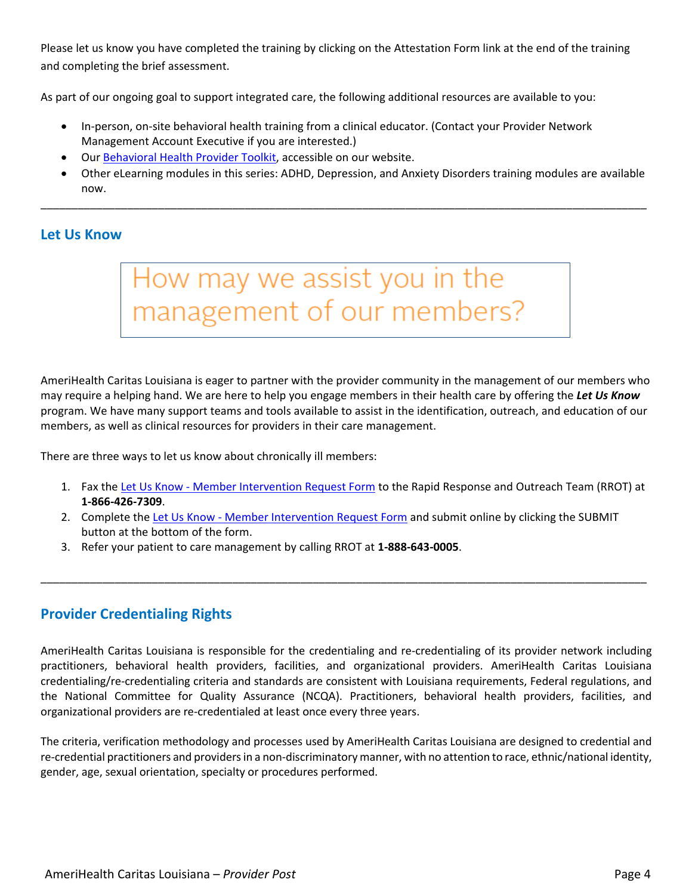Please let us know you have completed the training by clicking on the Attestation Form link at the end of the training and completing the brief assessment.

As part of our ongoing goal to support integrated care, the following additional resources are available to you:

- In-person, on-site behavioral health training from a clinical educator. (Contact your Provider Network Management Account Executive if you are interested.)
- Our [Behavioral Health Provider Toolkit,](http://www.amerihealthcaritasla.com/provider/training/index.aspx) accessible on our website.
- Other eLearning modules in this series: ADHD, Depression, and Anxiety Disorders training modules are available now.

\_\_\_\_\_\_\_\_\_\_\_\_\_\_\_\_\_\_\_\_\_\_\_\_\_\_\_\_\_\_\_\_\_\_\_\_\_\_\_\_\_\_\_\_\_\_\_\_\_\_\_\_\_\_\_\_\_\_\_\_\_\_\_\_\_\_\_\_\_\_\_\_\_\_\_\_\_\_\_\_\_\_\_\_\_\_\_\_\_\_\_\_\_\_\_\_\_\_

## **Let Us Know**



AmeriHealth Caritas Louisiana is eager to partner with the provider community in the management of our members who may require a helping hand. We are here to help you engage members in their health care by offering the *Let Us Know* program. We have many support teams and tools available to assist in the identification, outreach, and education of our members, as well as clinical resources for providers in their care management.

There are three ways to let us know about chronically ill members:

- 1. Fax the Let Us Know [Member Intervention Request Form](http://www.amerihealthcaritasla.com/pdf/provider/resources/forms/member-intervention-request-form.pdf) to the Rapid Response and Outreach Team (RROT) at **1-866-426-7309**.
- 2. Complete the Let Us Know [Member Intervention Request Form](http://www.amerihealthcaritasla.com/pdf/provider/resources/forms/member-intervention-request-form.pdf) and submit online by clicking the SUBMIT button at the bottom of the form.

\_\_\_\_\_\_\_\_\_\_\_\_\_\_\_\_\_\_\_\_\_\_\_\_\_\_\_\_\_\_\_\_\_\_\_\_\_\_\_\_\_\_\_\_\_\_\_\_\_\_\_\_\_\_\_\_\_\_\_\_\_\_\_\_\_\_\_\_\_\_\_\_\_\_\_\_\_\_\_\_\_\_\_\_\_\_\_\_\_\_\_\_\_\_\_\_\_\_

3. Refer your patient to care management by calling RROT at **1-888-643-0005**.

## **Provider Credentialing Rights**

AmeriHealth Caritas Louisiana is responsible for the credentialing and re-credentialing of its provider network including practitioners, behavioral health providers, facilities, and organizational providers. AmeriHealth Caritas Louisiana credentialing/re-credentialing criteria and standards are consistent with Louisiana requirements, Federal regulations, and the National Committee for Quality Assurance (NCQA). Practitioners, behavioral health providers, facilities, and organizational providers are re-credentialed at least once every three years.

The criteria, verification methodology and processes used by AmeriHealth Caritas Louisiana are designed to credential and re-credential practitioners and providers in a non-discriminatory manner, with no attention to race, ethnic/national identity, gender, age, sexual orientation, specialty or procedures performed.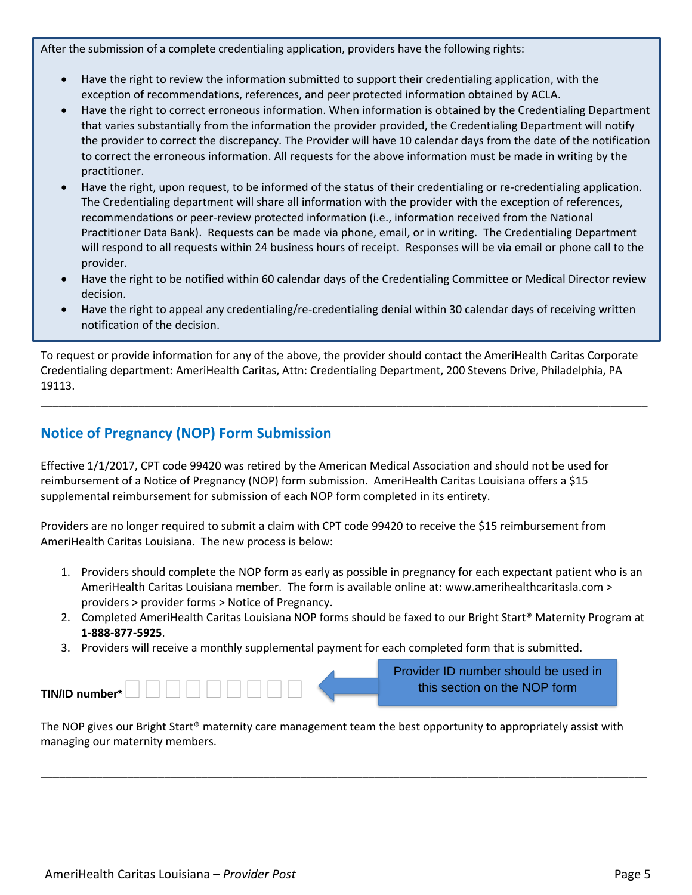After the submission of a complete credentialing application, providers have the following rights:

- Have the right to review the information submitted to support their credentialing application, with the exception of recommendations, references, and peer protected information obtained by ACLA.
- Have the right to correct erroneous information. When information is obtained by the Credentialing Department that varies substantially from the information the provider provided, the Credentialing Department will notify the provider to correct the discrepancy. The Provider will have 10 calendar days from the date of the notification to correct the erroneous information. All requests for the above information must be made in writing by the practitioner.
- Have the right, upon request, to be informed of the status of their credentialing or re-credentialing application. The Credentialing department will share all information with the provider with the exception of references, recommendations or peer-review protected information (i.e., information received from the National Practitioner Data Bank). Requests can be made via phone, email, or in writing. The Credentialing Department will respond to all requests within 24 business hours of receipt. Responses will be via email or phone call to the provider.
- Have the right to be notified within 60 calendar days of the Credentialing Committee or Medical Director review decision.
- Have the right to appeal any credentialing/re-credentialing denial within 30 calendar days of receiving written notification of the decision.

To request or provide information for any of the above, the provider should contact the AmeriHealth Caritas Corporate Credentialing department: AmeriHealth Caritas, Attn: Credentialing Department, 200 Stevens Drive, Philadelphia, PA 19113.

\_\_\_\_\_\_\_\_\_\_\_\_\_\_\_\_\_\_\_\_\_\_\_\_\_\_\_\_\_\_\_\_\_\_\_\_\_\_\_\_\_\_\_\_\_\_\_\_\_\_\_\_\_\_\_\_\_\_\_\_\_\_\_\_\_\_\_\_\_\_\_\_\_\_\_\_\_\_\_\_\_\_\_\_\_\_\_\_\_\_\_\_\_\_\_\_\_\_\_

# **Notice of Pregnancy (NOP) Form Submission**

Effective 1/1/2017, CPT code 99420 was retired by the American Medical Association and should not be used for reimbursement of a Notice of Pregnancy (NOP) form submission. AmeriHealth Caritas Louisiana offers a \$15 supplemental reimbursement for submission of each NOP form completed in its entirety.

Providers are no longer required to submit a claim with CPT code 99420 to receive the \$15 reimbursement from AmeriHealth Caritas Louisiana. The new process is below:

- 1. Providers should complete the NOP form as early as possible in pregnancy for each expectant patient who is an AmeriHealth Caritas Louisiana member. The form is available online at: www.amerihealthcaritasla.com > providers > provider forms > Notice of Pregnancy.
- 2. Completed AmeriHealth Caritas Louisiana NOP forms should be faxed to our Bright Start® Maternity Program at **1-888-877-5925**.

Provider ID number should be used in

3. Providers will receive a monthly supplemental payment for each completed form that is submitted.

|                | <b>Provider TD Humber Should be used in</b> |
|----------------|---------------------------------------------|
| TIN/ID number* | this section on the NOP form                |

The NOP gives our Bright Start® maternity care management team the best opportunity to appropriately assist with managing our maternity members.

\_\_\_\_\_\_\_\_\_\_\_\_\_\_\_\_\_\_\_\_\_\_\_\_\_\_\_\_\_\_\_\_\_\_\_\_\_\_\_\_\_\_\_\_\_\_\_\_\_\_\_\_\_\_\_\_\_\_\_\_\_\_\_\_\_\_\_\_\_\_\_\_\_\_\_\_\_\_\_\_\_\_\_\_\_\_\_\_\_\_\_\_\_\_\_\_\_\_